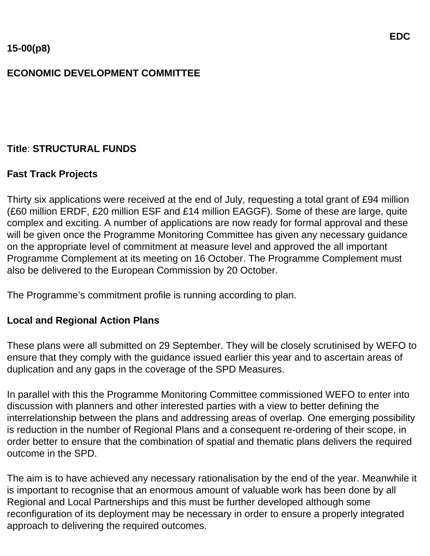# **ECONOMIC DEVELOPMENT COMMITTEE**

## **Title**: **STRUCTURAL FUNDS**

## **Fast Track Projects**

Thirty six applications were received at the end of July, requesting a total grant of £94 million (£60 million ERDF, £20 million ESF and £14 million EAGGF). Some of these are large, quite complex and exciting. A number of applications are now ready for formal approval and these will be given once the Programme Monitoring Committee has given any necessary guidance on the appropriate level of commitment at measure level and approved the all important Programme Complement at its meeting on 16 October. The Programme Complement must also be delivered to the European Commission by 20 October.

The Programme's commitment profile is running according to plan.

### **Local and Regional Action Plans**

These plans were all submitted on 29 September. They will be closely scrutinised by WEFO to ensure that they comply with the guidance issued earlier this year and to ascertain areas of duplication and any gaps in the coverage of the SPD Measures.

In parallel with this the Programme Monitoring Committee commissioned WEFO to enter into discussion with planners and other interested parties with a view to better defining the interrelationship between the plans and addressing areas of overlap. One emerging possibility is reduction in the number of Regional Plans and a consequent re-ordering of their scope, in order better to ensure that the combination of spatial and thematic plans delivers the required outcome in the SPD.

The aim is to have achieved any necessary rationalisation by the end of the year. Meanwhile it is important to recognise that an enormous amount of valuable work has been done by all Regional and Local Partnerships and this must be further developed although some reconfiguration of its deployment may be necessary in order to ensure a properly integrated approach to delivering the required outcomes.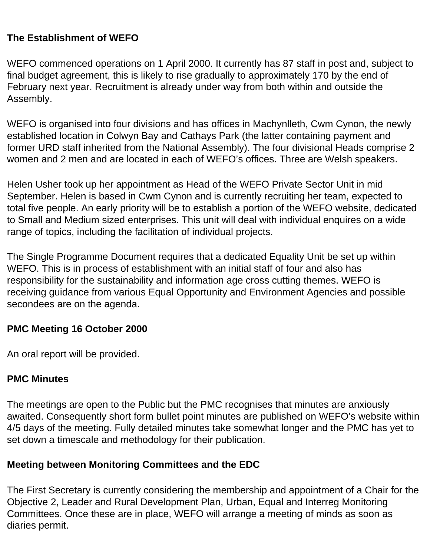## **The Establishment of WEFO**

WEFO commenced operations on 1 April 2000. It currently has 87 staff in post and, subject to final budget agreement, this is likely to rise gradually to approximately 170 by the end of February next year. Recruitment is already under way from both within and outside the Assembly.

WEFO is organised into four divisions and has offices in Machynlleth, Cwm Cynon, the newly established location in Colwyn Bay and Cathays Park (the latter containing payment and former URD staff inherited from the National Assembly). The four divisional Heads comprise 2 women and 2 men and are located in each of WEFO's offices. Three are Welsh speakers.

Helen Usher took up her appointment as Head of the WEFO Private Sector Unit in mid September. Helen is based in Cwm Cynon and is currently recruiting her team, expected to total five people. An early priority will be to establish a portion of the WEFO website, dedicated to Small and Medium sized enterprises. This unit will deal with individual enquires on a wide range of topics, including the facilitation of individual projects.

The Single Programme Document requires that a dedicated Equality Unit be set up within WEFO. This is in process of establishment with an initial staff of four and also has responsibility for the sustainability and information age cross cutting themes. WEFO is receiving guidance from various Equal Opportunity and Environment Agencies and possible secondees are on the agenda.

### **PMC Meeting 16 October 2000**

An oral report will be provided.

### **PMC Minutes**

The meetings are open to the Public but the PMC recognises that minutes are anxiously awaited. Consequently short form bullet point minutes are published on WEFO's website within 4/5 days of the meeting. Fully detailed minutes take somewhat longer and the PMC has yet to set down a timescale and methodology for their publication.

### **Meeting between Monitoring Committees and the EDC**

The First Secretary is currently considering the membership and appointment of a Chair for the Objective 2, Leader and Rural Development Plan, Urban, Equal and Interreg Monitoring Committees. Once these are in place, WEFO will arrange a meeting of minds as soon as diaries permit.